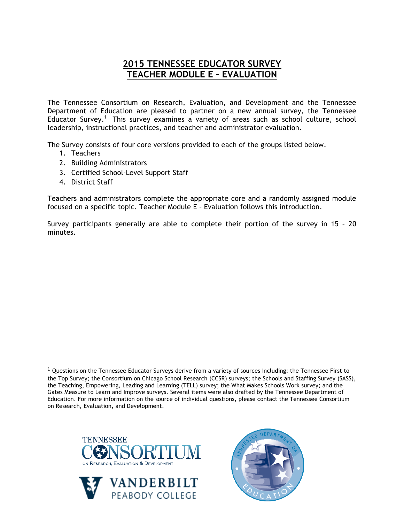## **2015 TENNESSEE EDUCATOR SURVEY TEACHER MODULE E – EVALUATION**

The Tennessee Consortium on Research, Evaluation, and Development and the Tennessee Department of Education are pleased to partner on a new annual survey, the Tennessee Educator Survey.<sup>1</sup> This survey examines a variety of areas such as school culture, school leadership, instructional practices, and teacher and administrator evaluation.

The Survey consists of four core versions provided to each of the groups listed below.

- 1. Teachers
- 2. Building Administrators
- 3. Certified School-Level Support Staff
- 4. District Staff

!!!!!!!!!!!!!!!!!!!!!!!!!!!!!!!!!!!!!!!!!!!!!!!!!!!!!!!

Teachers and administrators complete the appropriate core and a randomly assigned module focused on a specific topic. Teacher Module E – Evaluation follows this introduction.

Survey participants generally are able to complete their portion of the survey in 15 – 20 minutes.

 $1$  Questions on the Tennessee Educator Surveys derive from a variety of sources including: the Tennessee First to the Top Survey; the Consortium on Chicago School Research (CCSR) surveys; the Schools and Staffing Survey (SASS), the Teaching, Empowering, Leading and Learning (TELL) survey; the What Makes Schools Work survey; and the Gates Measure to Learn and Improve surveys. Several items were also drafted by the Tennessee Department of Education. For more information on the source of individual questions, please contact the Tennessee Consortium on Research, Evaluation, and Development.





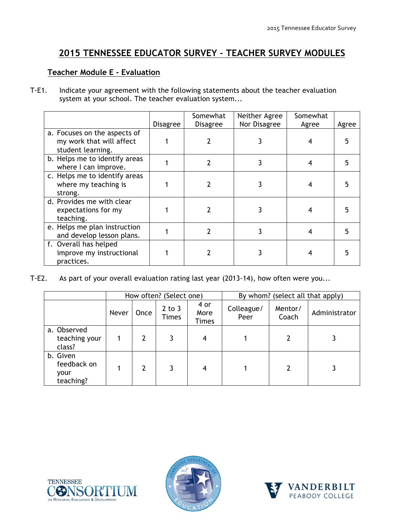## **2015 TENNESSEE EDUCATOR SURVEY – TEACHER SURVEY MODULES**

## **Teacher Module E - Evaluation**

T-E1. Indicate your agreement with the following statements about the teacher evaluation system at your school. The teacher evaluation system...

|                                                                               | <b>Disagree</b> | Somewhat<br><b>Disagree</b> | Neither Agree<br>Nor Disagree | Somewhat<br>Agree | Agree |
|-------------------------------------------------------------------------------|-----------------|-----------------------------|-------------------------------|-------------------|-------|
| a. Focuses on the aspects of<br>my work that will affect<br>student learning. |                 |                             |                               |                   |       |
| b. Helps me to identify areas<br>where I can improve.                         |                 | 2                           |                               |                   |       |
| c. Helps me to identify areas<br>where my teaching is<br>strong.              |                 |                             |                               |                   |       |
| d. Provides me with clear<br>expectations for my<br>teaching.                 |                 |                             |                               |                   |       |
| e. Helps me plan instruction<br>and develop lesson plans.                     |                 |                             |                               |                   |       |
| f. Overall has helped<br>improve my instructional<br>practices.               |                 |                             |                               |                   |       |

T-E2. As part of your overall evaluation rating last year (2013-14), how often were you...

|                                              | How often? (Select one) |      |                            | By whom? (select all that apply) |                    |                  |               |
|----------------------------------------------|-------------------------|------|----------------------------|----------------------------------|--------------------|------------------|---------------|
|                                              | Never                   | Once | $2$ to $3$<br><b>Times</b> | 4 or<br>More<br>Times            | Colleague/<br>Peer | Mentor/<br>Coach | Administrator |
| a. Observed<br>teaching your<br>class?       |                         | 2    |                            | 4                                |                    |                  |               |
| b. Given<br>feedback on<br>your<br>teaching? |                         | 2    | 3                          | 4                                |                    | 2                |               |





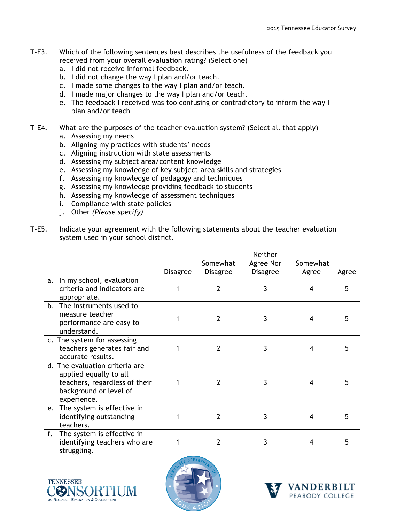- T-E3. Which of the following sentences best describes the usefulness of the feedback you received from your overall evaluation rating? (Select one)
	- a. I did not receive informal feedback.
	- b. I did not change the way I plan and/or teach.
	- c. I made some changes to the way I plan and/or teach.
	- d. I made major changes to the way I plan and/or teach.
	- e. The feedback I received was too confusing or contradictory to inform the way I plan and/or teach
- T-E4. What are the purposes of the teacher evaluation system? (Select all that apply)
	- a. Assessing my needs
	- b. Aligning my practices with students' needs
	- c. Aligning instruction with state assessments
	- d. Assessing my subject area/content knowledge
	- e. Assessing my knowledge of key subject-area skills and strategies
	- f. Assessing my knowledge of pedagogy and techniques
	- g. Assessing my knowledge providing feedback to students
	- h. Assessing my knowledge of assessment techniques
	- i. Compliance with state policies
	- j. Other *(Please specify)*
- T-E5. Indicate your agreement with the following statements about the teacher evaluation system used in your school district.

|    |                                                                                                                                    | <b>Disagree</b> | Somewhat<br><b>Disagree</b> | Neither<br>Agree Nor<br><b>Disagree</b> | Somewhat<br>Agree | Agree |
|----|------------------------------------------------------------------------------------------------------------------------------------|-----------------|-----------------------------|-----------------------------------------|-------------------|-------|
| a. | In my school, evaluation<br>criteria and indicators are<br>appropriate.                                                            |                 | 2                           | 3                                       | 4                 | 5     |
|    | b. The instruments used to<br>measure teacher<br>performance are easy to<br>understand.                                            |                 | 2                           | 3                                       | 4                 |       |
|    | c. The system for assessing<br>teachers generates fair and<br>accurate results.                                                    |                 | 2                           | 3                                       | 4                 | 5     |
|    | d. The evaluation criteria are<br>applied equally to all<br>teachers, regardless of their<br>background or level of<br>experience. |                 | 2                           | 3                                       | 4                 |       |
|    | e. The system is effective in<br>identifying outstanding<br>teachers.                                                              |                 | 2                           | 3                                       | 4                 | 5     |
| f. | The system is effective in<br>identifying teachers who are<br>struggling.                                                          |                 | 2                           | 3                                       | 4                 | 5     |